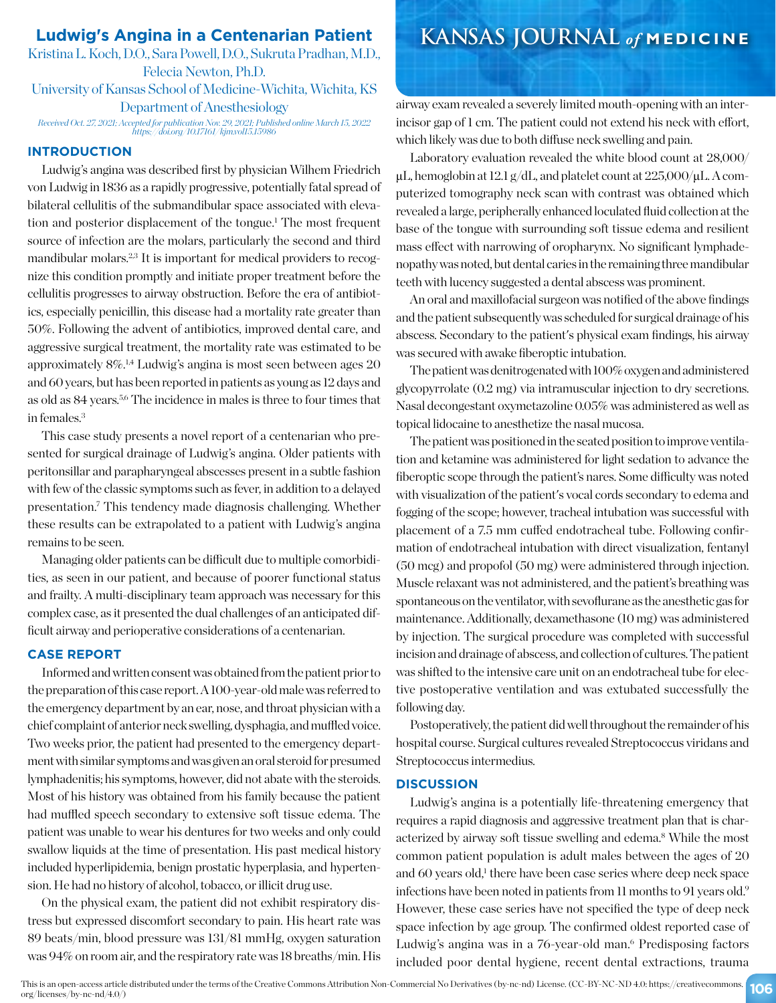Kristina L. Koch, D.O., Sara Powell, D.O., Sukruta Pradhan, M.D., Felecia Newton, Ph.D. University of Kansas School of Medicine-Wichita, Wichita, KS Department of Anesthesiology *Received Oct. 27, 2021; Accepted for publication Nov. 29, 2021; Published online March 15, 2022 https://doi.org/10.17161/kjm.vol15.15986*

### **INTRODUCTION**

Ludwig's angina was described first by physician Wilhem Friedrich von Ludwig in 1836 as a rapidly progressive, potentially fatal spread of bilateral cellulitis of the submandibular space associated with elevation and posterior displacement of the tongue.<sup>1</sup> The most frequent source of infection are the molars, particularly the second and third mandibular molars.<sup>2,3</sup> It is important for medical providers to recognize this condition promptly and initiate proper treatment before the cellulitis progresses to airway obstruction. Before the era of antibiotics, especially penicillin, this disease had a mortality rate greater than 50%. Following the advent of antibiotics, improved dental care, and aggressive surgical treatment, the mortality rate was estimated to be approximately 8%.1,4 Ludwig's angina is most seen between ages 20 and 60 years, but has been reported in patients as young as 12 days and as old as 84 years.5,6 The incidence in males is three to four times that in females.3

This case study presents a novel report of a centenarian who presented for surgical drainage of Ludwig's angina. Older patients with peritonsillar and parapharyngeal abscesses present in a subtle fashion with few of the classic symptoms such as fever, in addition to a delayed presentation.7 This tendency made diagnosis challenging. Whether these results can be extrapolated to a patient with Ludwig's angina remains to be seen.

Managing older patients can be difficult due to multiple comorbidities, as seen in our patient, and because of poorer functional status and frailty. A multi-disciplinary team approach was necessary for this complex case, as it presented the dual challenges of an anticipated difficult airway and perioperative considerations of a centenarian.

### **CASE REPORT**

Informed and written consent was obtained from the patient prior to the preparation of this case report. A 100-year-old male was referred to the emergency department by an ear, nose, and throat physician with a chief complaint of anterior neck swelling, dysphagia, and muffled voice. Two weeks prior, the patient had presented to the emergency department with similar symptoms and was given an oral steroid for presumed lymphadenitis; his symptoms, however, did not abate with the steroids. Most of his history was obtained from his family because the patient had muffled speech secondary to extensive soft tissue edema. The patient was unable to wear his dentures for two weeks and only could swallow liquids at the time of presentation. His past medical history included hyperlipidemia, benign prostatic hyperplasia, and hypertension. He had no history of alcohol, tobacco, or illicit drug use.

On the physical exam, the patient did not exhibit respiratory distress but expressed discomfort secondary to pain. His heart rate was 89 beats/min, blood pressure was 131/81 mmHg, oxygen saturation was 94% on room air, and the respiratory rate was 18 breaths/min. His

# **Ludwig's Angina in a Centenarian Patient KANSAS JOURNAL** *of* **MEDICINE**

airway exam revealed a severely limited mouth-opening with an interincisor gap of 1 cm. The patient could not extend his neck with effort, which likely was due to both diffuse neck swelling and pain.

Laboratory evaluation revealed the white blood count at 28,000/  $\mu$ L, hemoglobin at 12.1 g/dL, and platelet count at 225,000/ $\mu$ L. A computerized tomography neck scan with contrast was obtained which revealed a large, peripherally enhanced loculated fluid collection at the base of the tongue with surrounding soft tissue edema and resilient mass effect with narrowing of oropharynx. No significant lymphadenopathy was noted, but dental caries in the remaining three mandibular teeth with lucency suggested a dental abscess was prominent.

An oral and maxillofacial surgeon was notified of the above findings and the patient subsequently was scheduled for surgical drainage of his abscess. Secondary to the patient's physical exam findings, his airway was secured with awake fiberoptic intubation.

The patient was denitrogenated with 100% oxygen and administered glycopyrrolate (0.2 mg) via intramuscular injection to dry secretions. Nasal decongestant oxymetazoline 0.05% was administered as well as topical lidocaine to anesthetize the nasal mucosa.

The patient was positioned in the seated position to improve ventilation and ketamine was administered for light sedation to advance the fiberoptic scope through the patient's nares. Some difficulty was noted with visualization of the patient's vocal cords secondary to edema and fogging of the scope; however, tracheal intubation was successful with placement of a 7.5 mm cuffed endotracheal tube. Following confirmation of endotracheal intubation with direct visualization, fentanyl (50 mcg) and propofol (50 mg) were administered through injection. Muscle relaxant was not administered, and the patient's breathing was spontaneous on the ventilator, with sevoflurane as the anesthetic gas for maintenance. Additionally, dexamethasone (10 mg) was administered by injection. The surgical procedure was completed with successful incision and drainage of abscess, and collection of cultures. The patient was shifted to the intensive care unit on an endotracheal tube for elective postoperative ventilation and was extubated successfully the following day.

Postoperatively, the patient did well throughout the remainder of his hospital course. Surgical cultures revealed Streptococcus viridans and Streptococcus intermedius.

#### **DISCUSSION**

Ludwig's angina is a potentially life-threatening emergency that requires a rapid diagnosis and aggressive treatment plan that is characterized by airway soft tissue swelling and edema.<sup>8</sup> While the most common patient population is adult males between the ages of 20 and 60 years old,<sup>1</sup> there have been case series where deep neck space infections have been noted in patients from 11 months to 91 years old.9 However, these case series have not specified the type of deep neck space infection by age group. The confirmed oldest reported case of Ludwig's angina was in a 76-year-old man.<sup>6</sup> Predisposing factors included poor dental hygiene, recent dental extractions, trauma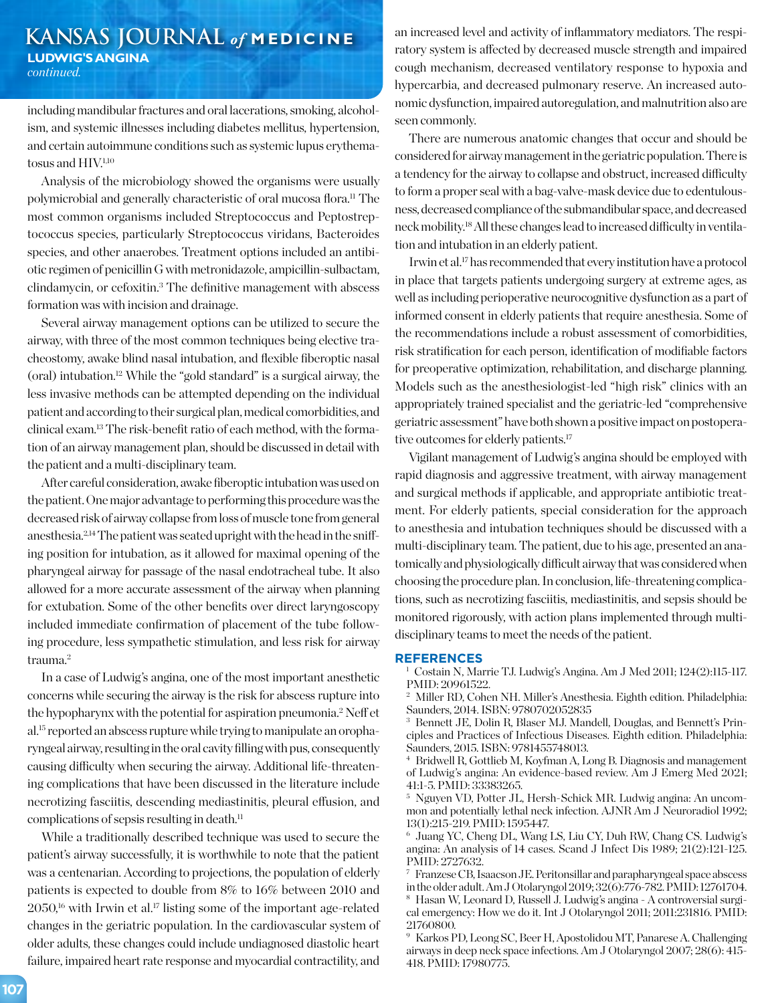## **KANSAS JOURNAL** *of* **MEDICINE LUDWIG'S ANGINA**  *continued.*

including mandibular fractures and oral lacerations, smoking, alcoholism, and systemic illnesses including diabetes mellitus, hypertension, and certain autoimmune conditions such as systemic lupus erythematosus and HIV.<sup>1,10</sup>

Analysis of the microbiology showed the organisms were usually polymicrobial and generally characteristic of oral mucosa flora.11 The most common organisms included Streptococcus and Peptostreptococcus species, particularly Streptococcus viridans, Bacteroides species, and other anaerobes. Treatment options included an antibiotic regimen of penicillin G with metronidazole, ampicillin-sulbactam, clindamycin, or cefoxitin.3 The definitive management with abscess formation was with incision and drainage.

Several airway management options can be utilized to secure the airway, with three of the most common techniques being elective tracheostomy, awake blind nasal intubation, and flexible fiberoptic nasal (oral) intubation.12 While the "gold standard" is a surgical airway, the less invasive methods can be attempted depending on the individual patient and according to their surgical plan, medical comorbidities, and clinical exam.13 The risk-benefit ratio of each method, with the formation of an airway management plan, should be discussed in detail with the patient and a multi-disciplinary team.

After careful consideration, awake fiberoptic intubation was used on the patient. One major advantage to performing this procedure was the decreased risk of airway collapse from loss of muscle tone from general anesthesia.2,14 The patient was seated upright with the head in the sniffing position for intubation, as it allowed for maximal opening of the pharyngeal airway for passage of the nasal endotracheal tube. It also allowed for a more accurate assessment of the airway when planning for extubation. Some of the other benefits over direct laryngoscopy included immediate confirmation of placement of the tube following procedure, less sympathetic stimulation, and less risk for airway trauma.2

In a case of Ludwig's angina, one of the most important anesthetic concerns while securing the airway is the risk for abscess rupture into the hypopharynx with the potential for aspiration pneumonia.2 Neff et al.15 reported an abscess rupture while trying to manipulate an oropharyngeal airway, resulting in the oral cavity filling with pus, consequently causing difficulty when securing the airway. Additional life-threatening complications that have been discussed in the literature include necrotizing fasciitis, descending mediastinitis, pleural effusion, and complications of sepsis resulting in death. $<sup>11</sup>$ </sup>

While a traditionally described technique was used to secure the patient's airway successfully, it is worthwhile to note that the patient was a centenarian. According to projections, the population of elderly patients is expected to double from 8% to 16% between 2010 and  $2050$ <sup>16</sup> with Irwin et al.<sup>17</sup> listing some of the important age-related changes in the geriatric population. In the cardiovascular system of older adults, these changes could include undiagnosed diastolic heart failure, impaired heart rate response and myocardial contractility, and an increased level and activity of inflammatory mediators. The respiratory system is affected by decreased muscle strength and impaired cough mechanism, decreased ventilatory response to hypoxia and hypercarbia, and decreased pulmonary reserve. An increased autonomic dysfunction, impaired autoregulation, and malnutrition also are seen commonly.

There are numerous anatomic changes that occur and should be considered for airway management in the geriatric population. There is a tendency for the airway to collapse and obstruct, increased difficulty to form a proper seal with a bag-valve-mask device due to edentulousness, decreased compliance of the submandibular space, and decreased neck mobility.18 All these changes lead to increased difficulty in ventilation and intubation in an elderly patient.

Irwin et al.17 has recommended that every institution have a protocol in place that targets patients undergoing surgery at extreme ages, as well as including perioperative neurocognitive dysfunction as a part of informed consent in elderly patients that require anesthesia. Some of the recommendations include a robust assessment of comorbidities, risk stratification for each person, identification of modifiable factors for preoperative optimization, rehabilitation, and discharge planning. Models such as the anesthesiologist-led "high risk" clinics with an appropriately trained specialist and the geriatric-led "comprehensive geriatric assessment" have both shown a positive impact on postoperative outcomes for elderly patients.<sup>17</sup>

Vigilant management of Ludwig's angina should be employed with rapid diagnosis and aggressive treatment, with airway management and surgical methods if applicable, and appropriate antibiotic treatment. For elderly patients, special consideration for the approach to anesthesia and intubation techniques should be discussed with a multi-disciplinary team. The patient, due to his age, presented an anatomically and physiologically difficult airway that was considered when choosing the procedure plan. In conclusion, life-threatening complications, such as necrotizing fasciitis, mediastinitis, and sepsis should be monitored rigorously, with action plans implemented through multidisciplinary teams to meet the needs of the patient.

#### **REFERENCES**

<sup>1</sup> Costain N, Marrie TJ. Ludwig's Angina. Am J Med 2011; 124(2):115-117. PMID: 20961522.

<sup>2</sup> Miller RD, Cohen NH. Miller's Anesthesia. Eighth edition. Philadelphia: Saunders, 2014. ISBN: 9780702052835

<sup>3</sup> Bennett JE, Dolin R, Blaser MJ. Mandell, Douglas, and Bennett's Principles and Practices of Infectious Diseases. Eighth edition. Philadelphia: Saunders, 2015. ISBN: 9781455748013.

<sup>4</sup> Bridwell R, Gottlieb M, Koyfman A, Long B. Diagnosis and management of Ludwig's angina: An evidence-based review. Am J Emerg Med 2021; 41:1-5. PMID: 33383265.

<sup>5</sup> Nguyen VD, Potter JL, Hersh-Schick MR. Ludwig angina: An uncommon and potentially lethal neck infection. AJNR Am J Neuroradiol 1992; 13(1):215-219. PMID: 1595447.

<sup>6</sup> Juang YC, Cheng DL, Wang LS, Liu CY, Duh RW, Chang CS. Ludwig's angina: An analysis of 14 cases. Scand J Infect Dis 1989; 21(2):121-125. PMID: 2727632.

<sup>7</sup> Franzese CB, Isaacson JE. Peritonsillar and parapharyngeal space abscess in the older adult. Am J Otolaryngol 2019; 32(6):776-782. PMID: 12761704. <sup>8</sup> Hasan W, Leonard D, Russell J. Ludwig's angina - A controversial surgi-

cal emergency: How we do it. Int J Otolaryngol 2011; 2011:231816. PMID: 21760800.

<sup>9</sup> Karkos PD, Leong SC, Beer H, Apostolidou MT, Panarese A. Challenging airways in deep neck space infections. Am J Otolaryngol 2007; 28(6): 415- 418. PMID: 17980775.